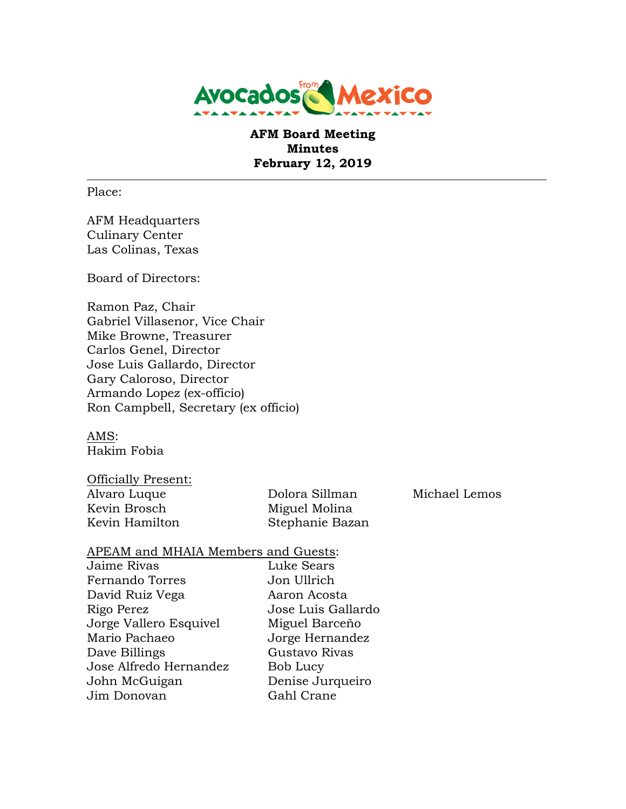

**AFM Board Meeting Minutes February 12, 2019**

Place:

AFM Headquarters Culinary Center Las Colinas, Texas

Board of Directors:

Ramon Paz, Chair Gabriel Villasenor, Vice Chair Mike Browne, Treasurer Carlos Genel, Director Jose Luis Gallardo, Director Gary Caloroso, Director Armando Lopez (ex-officio) Ron Campbell, Secretary (ex officio)

AMS: Hakim Fobia

Officially Present: Kevin Brosch Miguel Molina

Alvaro Luque **Dolora Sillman** Michael Lemos Kevin Hamilton Stephanie Bazan

## APEAM and MHAIA Members and Guests:

| Jaime Rivas            |  |
|------------------------|--|
| <b>Fernando Torres</b> |  |
| David Ruiz Vega        |  |
| Rigo Perez             |  |
| Jorge Vallero Esquivel |  |
| Mario Pachaeo          |  |
| Dave Billings          |  |
| Jose Alfredo Hernandez |  |
| John McGuigan          |  |
| Jim Donovan            |  |
|                        |  |

Luke Sears Jon Ullrich Aaron Acosta Jose Luis Gallardo Miguel Barceño Jorge Hernandez Gustavo Rivas Bob Lucy Denise Jurqueiro Gahl Crane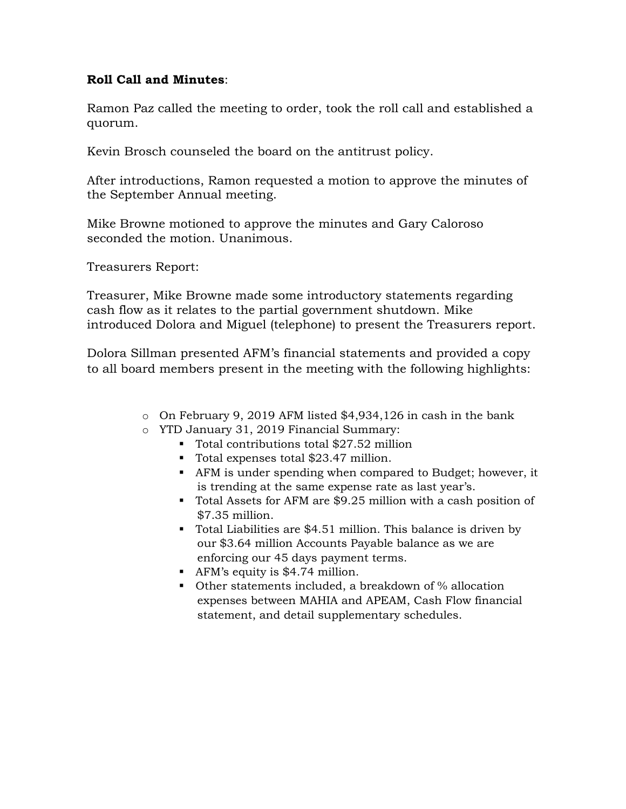## **Roll Call and Minutes**:

Ramon Paz called the meeting to order, took the roll call and established a quorum.

Kevin Brosch counseled the board on the antitrust policy.

After introductions, Ramon requested a motion to approve the minutes of the September Annual meeting.

Mike Browne motioned to approve the minutes and Gary Caloroso seconded the motion. Unanimous.

Treasurers Report:

Treasurer, Mike Browne made some introductory statements regarding cash flow as it relates to the partial government shutdown. Mike introduced Dolora and Miguel (telephone) to present the Treasurers report.

Dolora Sillman presented AFM's financial statements and provided a copy to all board members present in the meeting with the following highlights:

- o On February 9, 2019 AFM listed \$4,934,126 in cash in the bank
- o YTD January 31, 2019 Financial Summary:
	- Total contributions total \$27.52 million
	- Total expenses total \$23.47 million.
	- AFM is under spending when compared to Budget; however, it is trending at the same expense rate as last year's.
	- Total Assets for AFM are \$9.25 million with a cash position of \$7.35 million.
	- Total Liabilities are \$4.51 million. This balance is driven by our \$3.64 million Accounts Payable balance as we are enforcing our 45 days payment terms.
	- **•** AFM's equity is  $$4.74$  million.
	- Other statements included, a breakdown of % allocation expenses between MAHIA and APEAM, Cash Flow financial statement, and detail supplementary schedules.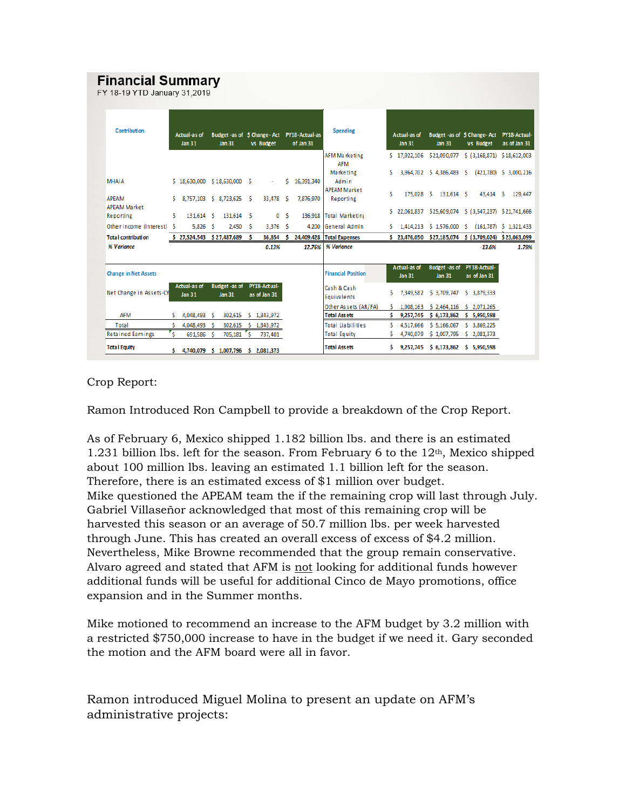## Eineneigl Cummen

| Filidil Gal Ədililildi y<br>FY 18-19 YTD January 31,2019 |     |                               |    |                                       |                                                        |                              |                |                         |                                           |    |                                      |                                                |                                                        |                          |
|----------------------------------------------------------|-----|-------------------------------|----|---------------------------------------|--------------------------------------------------------|------------------------------|----------------|-------------------------|-------------------------------------------|----|--------------------------------------|------------------------------------------------|--------------------------------------------------------|--------------------------|
| Contribution                                             |     | Actual-as of<br><b>Jan 31</b> |    | <b>Jan 31</b>                         | Budget-as of \$ Change-Act PY18-Actual-as<br>vs Budget |                              |                | of Jan 31               | <b>Spending</b>                           |    | Actual-as of<br><b>Jan 31</b>        | <b>Jan 31</b>                                  | Budget -as of \$ Change- Act PY18-Actual-<br>vs Budget | as of Jan 31             |
|                                                          |     |                               |    |                                       |                                                        |                              |                |                         | <b>AFM Marketing</b><br>AFM               |    | S 17.922.106                         | \$21,090,977                                   | S (3.168.871) S 18.612.003                             |                          |
|                                                          |     |                               |    |                                       |                                                        |                              |                |                         | Marke ting                                | s  |                                      | 3,964,702 \$4,386,483 \$ (421,780) \$3,000,216 |                                                        |                          |
| <b>MHAIA</b><br><b>APFAM</b>                             |     | \$18,630,000 \$18,630,000 \$  |    | 8,757,103 \$ 8,723,625 \$             |                                                        | ٠<br>33,478 S                | s.             | 16,391,340<br>7,876,970 | Admin<br><b>APFAM Market</b><br>Reporting | Ś  |                                      | 175.028 S 131.614 S                            | 43,414                                                 | 129,447<br>-S            |
| <b>APEAM Market</b><br><b>Reporting</b>                  | s   | 131,614                       | -S | 131,614 S                             |                                                        |                              | 0 <sup>5</sup> |                         | 136,918 Total Marketing                   |    | 22,061,837                           | \$25,609,074                                   | \$ (3,547,237) \$ 21,741,666                           |                          |
| Otherincome (Interest) S                                 |     | 5,826                         | -S | 2,450                                 | - S                                                    | $3,376$ \$                   |                | 4.200                   | General Admin                             | s. |                                      | 1,414,213 \$ 1,576,000                         | s                                                      | $(161,787)$ \$ 1,321,433 |
| <b>Total contribution</b>                                |     | \$27,524,543 \$27,487,689     |    |                                       | -S                                                     | 36,854                       | -S             |                         | 24,409,428 Total Expenses                 |    | \$23,476,050                         | \$27,185,074                                   | \$ (3,709,024) \$23,063,099                            |                          |
| % Variance                                               |     |                               |    |                                       |                                                        | 0.13%                        |                | 12.76%                  | % Variance                                |    |                                      |                                                | $-13.6%$                                               | 1.79%                    |
| <b>Change in Net Assets</b>                              |     |                               |    |                                       |                                                        |                              |                |                         | <b>Financial Position</b>                 |    | <b>Actual-as of</b><br><b>Jan 31</b> | <b>Jan 31</b>                                  | Budget -as of PY18-Actual-<br>as of Jan 31             |                          |
| Net Change in Assets-CY                                  |     | Actual-as of<br><b>Jan 31</b> |    | <b>Budget -as of</b><br><b>Jan 31</b> |                                                        | PY18-Actual-<br>as of Jan 31 |                |                         | Cash & Cash<br>Equivalents                | s  |                                      | 7,349,582 \$ 3,709,747                         | \$ 3,879,333                                           |                          |
|                                                          |     |                               |    |                                       |                                                        |                              |                |                         | Other Assets (AR/FA)                      | s  | 1.908.163                            | \$2,464,116                                    | \$2,071,265                                            |                          |
| <b>AFM</b>                                               |     | 4,048,493                     | -S | 302,615                               |                                                        | \$1,343,972                  |                |                         | <b>Total Assets</b>                       | Ŝ  | 9,257,745                            | \$6,173,862                                    | \$5,950,598                                            |                          |
| Total                                                    | Ś   | 4.048.493                     | -S |                                       |                                                        | 302.615 S 1.343.972          |                |                         | <b>Total Liabilities</b>                  | Ś  | 4.517.666                            | \$5,166,067                                    | \$3,869,225                                            |                          |
| <b>Retained Earnings</b>                                 | 'S. | 691,586 S                     |    | 705,181                               | 's                                                     | 737,401                      |                |                         | <b>Total Equity</b>                       | s  | 4,740,079                            | \$1,007,795                                    | \$2,081,373                                            |                          |
| <b>Total Equity</b>                                      |     |                               |    |                                       |                                                        | $\triangle$ a and and        |                |                         | <b>Total Assets</b>                       | Ŝ  |                                      | 9,257,745 \$ 6,173,862                         | \$5,950,598                                            |                          |

## Crop Report:

Ramon Introduced Ron Campbell to provide a breakdown of the Crop Report.

\$ 4,740,079 \$ 1,007,796 \$ 2,081,373

As of February 6, Mexico shipped 1.182 billion lbs. and there is an estimated 1.231 billion lbs. left for the season. From February 6 to the  $12<sup>th</sup>$ , Mexico shipped about 100 million lbs. leaving an estimated 1.1 billion left for the season. Therefore, there is an estimated excess of \$1 million over budget. Mike questioned the APEAM team the if the remaining crop will last through July. Gabriel Villaseñor acknowledged that most of this remaining crop will be harvested this season or an average of 50.7 million lbs. per week harvested through June. This has created an overall excess of excess of \$4.2 million. Nevertheless, Mike Browne recommended that the group remain conservative. Alvaro agreed and stated that AFM is not looking for additional funds however additional funds will be useful for additional Cinco de Mayo promotions, office expansion and in the Summer months.

Mike motioned to recommend an increase to the AFM budget by 3.2 million with a restricted \$750,000 increase to have in the budget if we need it. Gary seconded the motion and the AFM board were all in favor.

Ramon introduced Miguel Molina to present an update on AFM's administrative projects: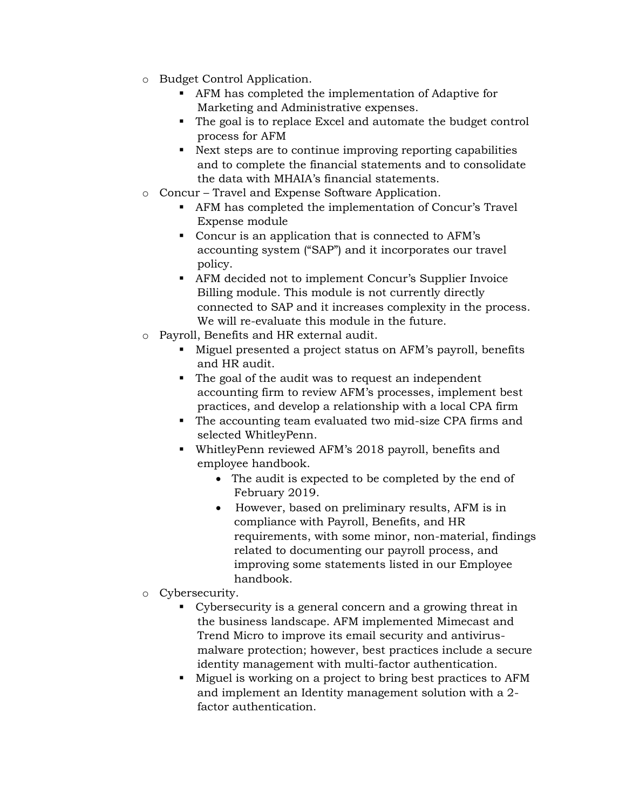- o Budget Control Application.
	- AFM has completed the implementation of Adaptive for Marketing and Administrative expenses.
	- The goal is to replace Excel and automate the budget control process for AFM
	- Next steps are to continue improving reporting capabilities and to complete the financial statements and to consolidate the data with MHAIA's financial statements.
- o Concur Travel and Expense Software Application.
	- AFM has completed the implementation of Concur's Travel Expense module
	- Concur is an application that is connected to AFM's accounting system ("SAP") and it incorporates our travel policy.
	- **EXECUTE:** AFM decided not to implement Concur's Supplier Invoice Billing module. This module is not currently directly connected to SAP and it increases complexity in the process. We will re-evaluate this module in the future.
- o Payroll, Benefits and HR external audit.
	- Miguel presented a project status on AFM's payroll, benefits and HR audit.
	- The goal of the audit was to request an independent accounting firm to review AFM's processes, implement best practices, and develop a relationship with a local CPA firm
	- The accounting team evaluated two mid-size CPA firms and selected WhitleyPenn.
	- WhitleyPenn reviewed AFM's 2018 payroll, benefits and employee handbook.
		- The audit is expected to be completed by the end of February 2019.
		- However, based on preliminary results, AFM is in compliance with Payroll, Benefits, and HR requirements, with some minor, non-material, findings related to documenting our payroll process, and improving some statements listed in our Employee handbook.
- o Cybersecurity.
	- Cybersecurity is a general concern and a growing threat in the business landscape. AFM implemented Mimecast and Trend Micro to improve its email security and antivirusmalware protection; however, best practices include a secure identity management with multi-factor authentication.
	- Miguel is working on a project to bring best practices to AFM and implement an Identity management solution with a 2 factor authentication.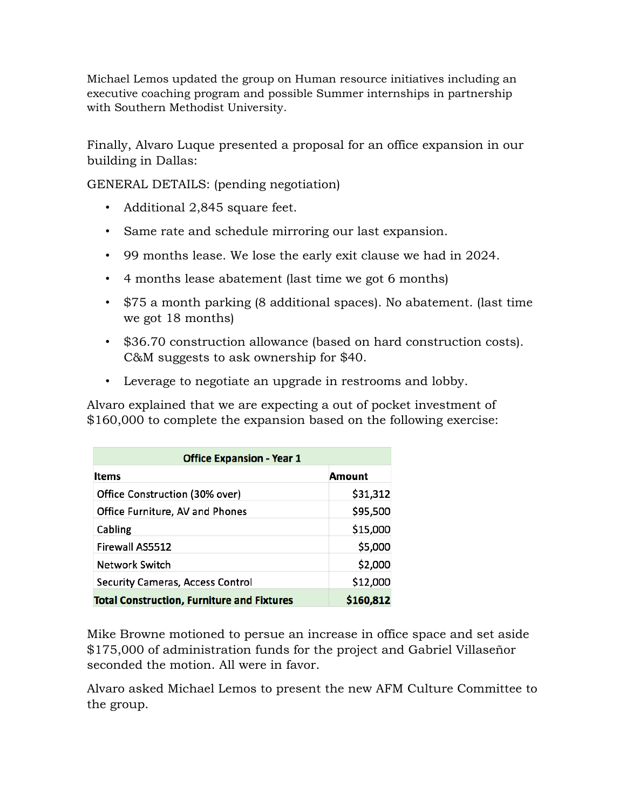Michael Lemos updated the group on Human resource initiatives including an executive coaching program and possible Summer internships in partnership with Southern Methodist University.

Finally, Alvaro Luque presented a proposal for an office expansion in our building in Dallas:

GENERAL DETAILS: (pending negotiation)

- Additional 2,845 square feet.
- Same rate and schedule mirroring our last expansion.
- 99 months lease. We lose the early exit clause we had in 2024.
- 4 months lease abatement (last time we got 6 months)
- \$75 a month parking (8 additional spaces). No abatement. (last time we got 18 months)
- \$36.70 construction allowance (based on hard construction costs). C&M suggests to ask ownership for \$40.
- Leverage to negotiate an upgrade in restrooms and lobby.

Alvaro explained that we are expecting a out of pocket investment of \$160,000 to complete the expansion based on the following exercise:

| <b>Office Expansion - Year 1</b>                  |           |  |  |  |  |  |  |
|---------------------------------------------------|-----------|--|--|--|--|--|--|
| <b>Items</b>                                      | Amount    |  |  |  |  |  |  |
| Office Construction (30% over)                    | \$31,312  |  |  |  |  |  |  |
| Office Furniture, AV and Phones                   | \$95,500  |  |  |  |  |  |  |
| Cabling                                           | \$15,000  |  |  |  |  |  |  |
| Firewall AS5512                                   | \$5,000   |  |  |  |  |  |  |
| Network Switch                                    | \$2,000   |  |  |  |  |  |  |
| <b>Security Cameras, Access Control</b>           | \$12,000  |  |  |  |  |  |  |
| <b>Total Construction, Furniture and Fixtures</b> | \$160,812 |  |  |  |  |  |  |

Mike Browne motioned to persue an increase in office space and set aside \$175,000 of administration funds for the project and Gabriel Villaseñor seconded the motion. All were in favor.

Alvaro asked Michael Lemos to present the new AFM Culture Committee to the group.